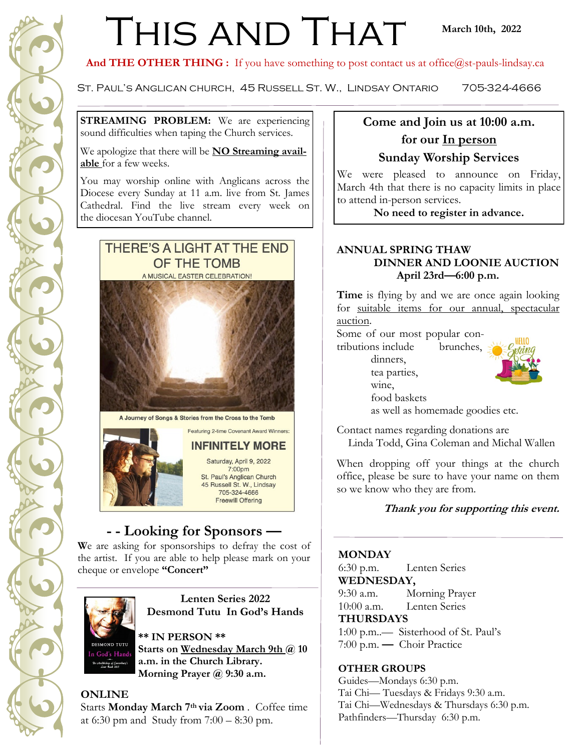# THIS AND THAT

#### And THE OTHER THING : If you have something to post contact us at office@st-pauls-lindsay.ca

St. Paul's Anglican church, 45 Russell St. W., Lindsay Ontario 705-324-4666

**STREAMING PROBLEM:** We are experiencing sound difficulties when taping the Church services.

We apologize that there will be **NO Streaming available** for a few weeks.

You may worship online with Anglicans across the Diocese every Sunday at 11 a.m. live from St. James Cathedral. Find the live stream every week on the diocesan YouTube channel.



A Journey of Songs & Stories from the Cross to the Tomb

**Featuring 2-time Covenant Award Winners** 

**INFINITELY MORE** Saturday, April 9, 2022 7:00pm St. Paul's Anglican Church 45 Russell St. W., Lindsay 705-324-4666 **Freewill Offering** 

## **- - Looking for Sponsors —**

We are asking for sponsorships to defray the cost of the artist. If you are able to help please mark on your cheque or envelope **"Concert"** 



**Lenten Series 2022 Desmond Tutu In God's Hands**

#### **\*\* IN PERSON \*\***

Starts on Wednesday March 9th @ 10 **a.m. in the Church Library. Morning Prayer @ 9:30 a.m.**

#### **ONLINE**

Starts **Monday March 7th via Zoom** . Coffee time at 6:30 pm and Study from 7:00 – 8:30 pm.

### **Come and Join us at 10:00 a.m. for our In person Sunday Worship Services**

We were pleased to announce on Friday, March 4th that there is no capacity limits in place to attend in-person services.

**No need to register in advance.**

#### **ANNUAL SPRING THAW DINNER AND LOONIE AUCTION April 23rd—6:00 p.m.**

**Time** is flying by and we are once again looking for suitable items for our annual, spectacular auction.

Some of our most popular contributions include brunches,

dinners, tea parties, wine, food baskets



as well as homemade goodies etc.

Contact names regarding donations are

Linda Todd, Gina Coleman and Michal Wallen

When dropping off your things at the church office, please be sure to have your name on them so we know who they are from.

**Thank you for supporting this event.** 

#### **MONDAY**

6:30 p.m. Lenten Series **WEDNESDAY,** 

9:30 a.m. Morning Prayer 10:00 a.m. Lenten Series

#### **THURSDAYS**

1:00 p.m..— Sisterhood of St. Paul's 7:00 p.m. **—** Choir Practice

#### **OTHER GROUPS**

Guides—Mondays 6:30 p.m. Tai Chi— Tuesdays & Fridays 9:30 a.m. Tai Chi—Wednesdays & Thursdays 6:30 p.m. Pathfinders—Thursday 6:30 p.m.